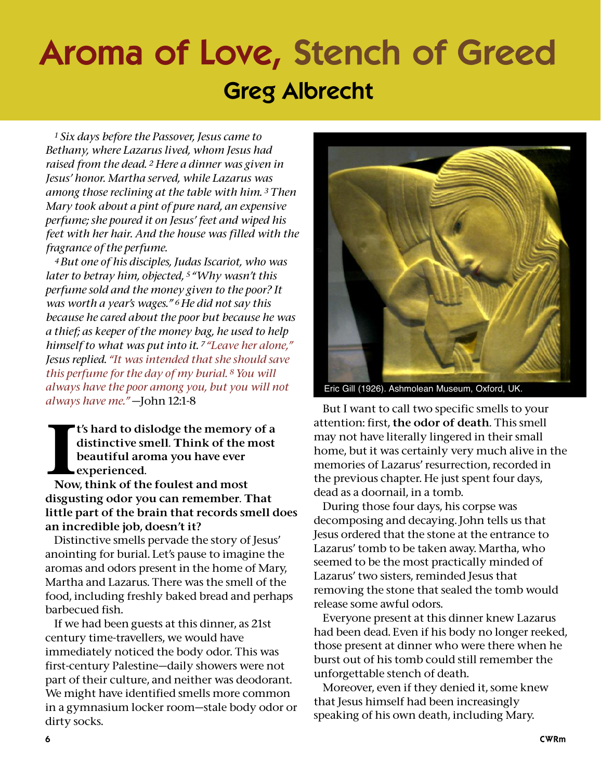## **Aroma of Love, Stench of Greed Greg Albrecht**

*<sup>1</sup> Six days before the Passover, Jesus came to Bethany, where Lazarus lived, whom Jesus had raised from the dead. <sup>2</sup> Here a dinner was given in Jesus' honor. Martha served, while Lazarus was among those reclining at the table with him. <sup>3</sup> Then Mary took about a pint of pure nard, an expensive perfume; she poured it on Jesus' feet and wiped his feet with her hair. And the house was filled with the fragrance of the perfume.*

*4But one of his disciples, Judas Iscariot, who was later to betray him, objected, <sup>5</sup> "Why wasn't this perfume sold and the money given to the poor? It was worth a year's wages." 6He did not say this because he cared about the poor but because he was a thief; as keeper of the money bag, he used to help himself to what was put into it. <sup>7</sup> "Leave her alone," Jesus replied. "It was intended that she should save this perfume for the day of my burial. 8You will always have the poor among you, but you will not always have me."* —John 12:1-8

I's hard to dislodge the memory<br>distinctive smell. Think of the<br>beautiful aroma you have ever<br>experienced.<br>Now, think of the foulest and most t's hard to dislodge the memory of a distinctive smell. Think of the most beautiful aroma you have ever experienced.

disgusting odor you can remember. That little part of the brain that records smell does an incredible job, doesn't it?

Distinctive smells pervade the story of Jesus' anointing for burial. Let's pause to imagine the aromas and odors present in the home of Mary, Martha and Lazarus. There was the smell of the food, including freshly baked bread and perhaps barbecued fish.

If we had been guests at this dinner, as 21st century time-travellers, we would have immediately noticed the body odor. This was first-century Palestine—daily showers were not part of their culture, and neither was deodorant. We might have identified smells more common in a gymnasium locker room—stale body odor or dirty socks.



Eric Gill (1926). Ashmolean Museum, Oxford, UK.

But I want to call two specific smells to your attention: first, the odor of death. This smell may not have literally lingered in their small home, but it was certainly very much alive in the memories of Lazarus' resurrection, recorded in the previous chapter. He just spent four days, dead as a doornail, in a tomb.

During those four days, his corpse was decomposing and decaying. John tells us that Jesus ordered that the stone at the entrance to Lazarus' tomb to be taken away. Martha, who seemed to be the most practically minded of Lazarus' two sisters, reminded Jesus that removing the stone that sealed the tomb would release some awful odors.

Everyone present at this dinner knew Lazarus had been dead. Even if his body no longer reeked, those present at dinner who were there when he burst out of his tomb could still remember the unforgettable stench of death.

Moreover, even if they denied it, some knew that Jesus himself had been increasingly speaking of his own death, including Mary.